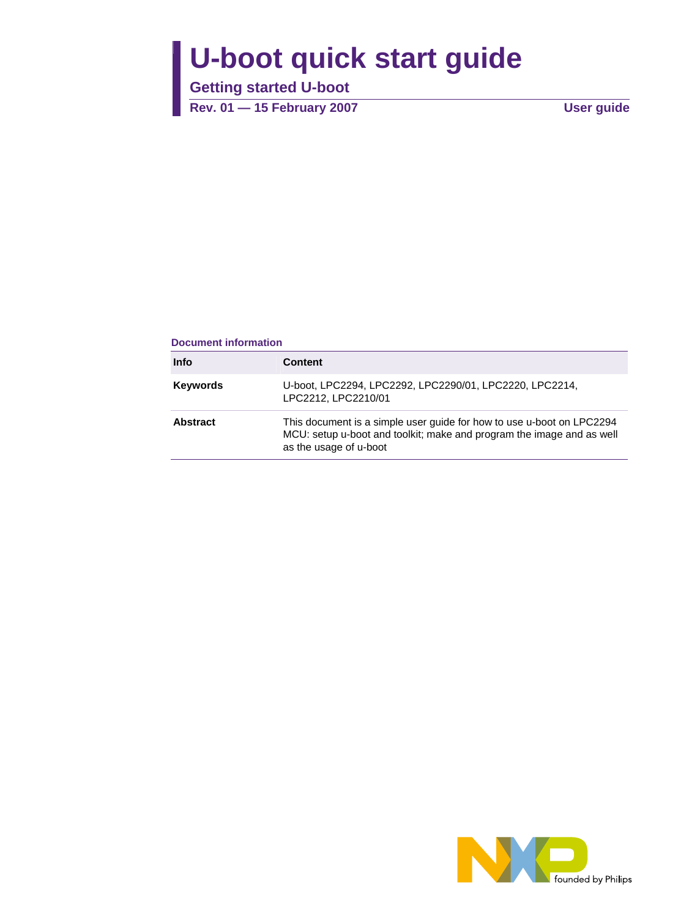# **U-boot quick start guide**

**Getting started U-boot** 

**Rev. 01 — 15 February 2007 User guide**

#### **Document information**

| <b>Info</b>     | <b>Content</b>                                                                                                                                                           |
|-----------------|--------------------------------------------------------------------------------------------------------------------------------------------------------------------------|
| <b>Keywords</b> | U-boot, LPC2294, LPC2292, LPC2290/01, LPC2220, LPC2214,<br>LPC2212, LPC2210/01                                                                                           |
| <b>Abstract</b> | This document is a simple user guide for how to use u-boot on LPC2294<br>MCU: setup u-boot and toolkit; make and program the image and as well<br>as the usage of u-boot |

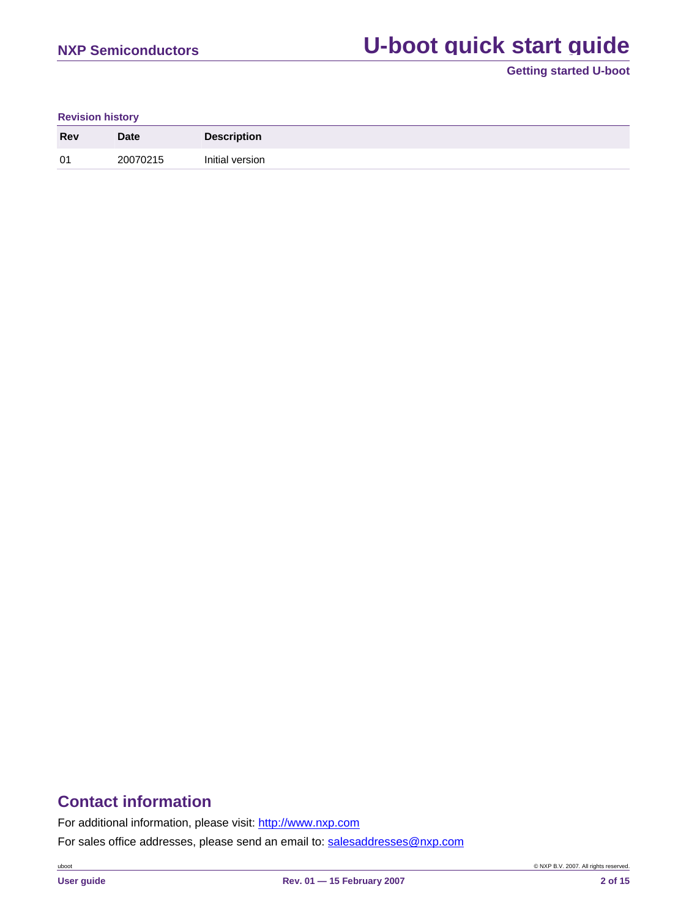# **NXP Semiconductors U-boot quick start quide**

**Getting started U-boot**

#### **Revision history**

| <b>Rev</b> | <b>Date</b> | <b>Description</b> |
|------------|-------------|--------------------|
| 01         | 20070215    | Initial version    |

# **Contact information**

For additional information, please visit: http://www.nxp.com

For sales office addresses, please send an email to: salesaddresses@nxp.com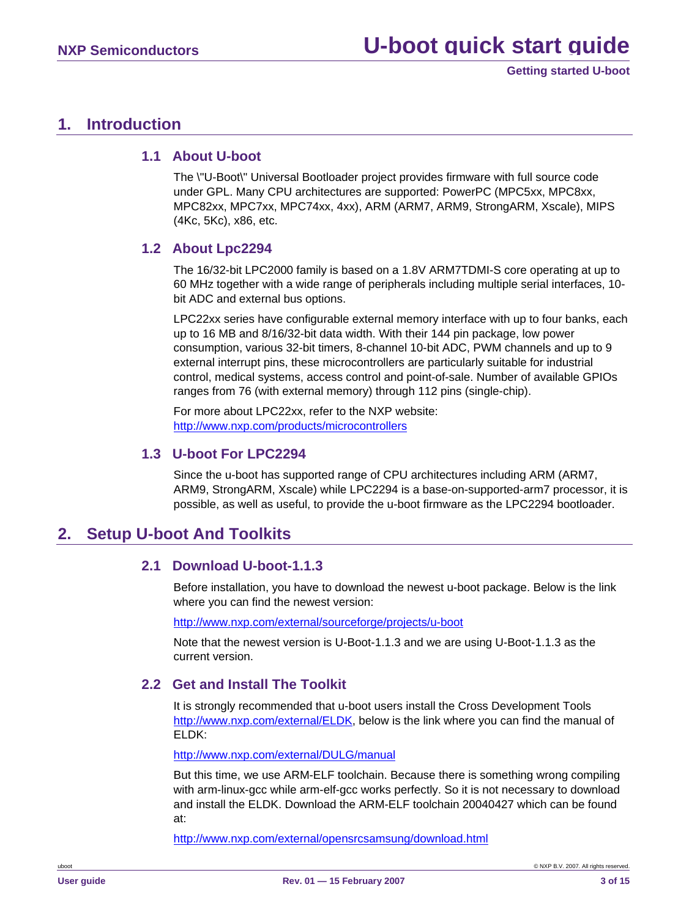### <span id="page-2-0"></span>**1. Introduction**

### **1.1 About U-boot**

The \"U-Boot\" Universal Bootloader project provides firmware with full source code under GPL. Many CPU architectures are supported: PowerPC (MPC5xx, MPC8xx, MPC82xx, MPC7xx, MPC74xx, 4xx), ARM (ARM7, ARM9, StrongARM, Xscale), MIPS (4Kc, 5Kc), x86, etc.

### **1.2 About Lpc2294**

The 16/32-bit LPC2000 family is based on a 1.8V ARM7TDMI-S core operating at up to 60 MHz together with a wide range of peripherals including multiple serial interfaces, 10 bit ADC and external bus options.

LPC22xx series have configurable external memory interface with up to four banks, each up to 16 MB and 8/16/32-bit data width. With their 144 pin package, low power consumption, various 32-bit timers, 8-channel 10-bit ADC, PWM channels and up to 9 external interrupt pins, these microcontrollers are particularly suitable for industrial control, medical systems, access control and point-of-sale. Number of available GPIOs ranges from 76 (with external memory) through 112 pins (single-chip).

For more about LPC22xx, refer to the NXP website: [http://www.nxp.com/products/microcontrollers](http://www.nxp.com/products/microcontrollers/index.html)

### **1.3 U-boot For LPC2294**

Since the u-boot has supported range of CPU architectures including ARM (ARM7, ARM9, StrongARM, Xscale) while LPC2294 is a base-on-supported-arm7 processor, it is possible, as well as useful, to provide the u-boot firmware as the LPC2294 bootloader.

## **2. Setup U-boot And Toolkits**

### **2.1 Download U-boot-1.1.3**

Before installation, you have to download the newest u-boot package. Below is the link where you can find the newest version:

<http://www.nxp.com/external/sourceforge/projects/u-boot>

Note that the newest version is U-Boot-1.1.3 and we are using U-Boot-1.1.3 as the current version.

### **2.2 Get and Install The Toolkit**

It is strongly recommended that u-boot users install the Cross Development Tools [http://www.nxp.com/external/ELDK,](http://www.nxp.com/external/ELDK) below is the link where you can find the manual of ELDK:

<http://www.nxp.com/external/DULG/manual>

But this time, we use ARM-ELF toolchain. Because there is something wrong compiling with arm-linux-gcc while arm-elf-gcc works perfectly. So it is not necessary to download and install the ELDK. Download the ARM-ELF toolchain 20040427 which can be found at:

<http://www.nxp.com/external/opensrcsamsung/download.html>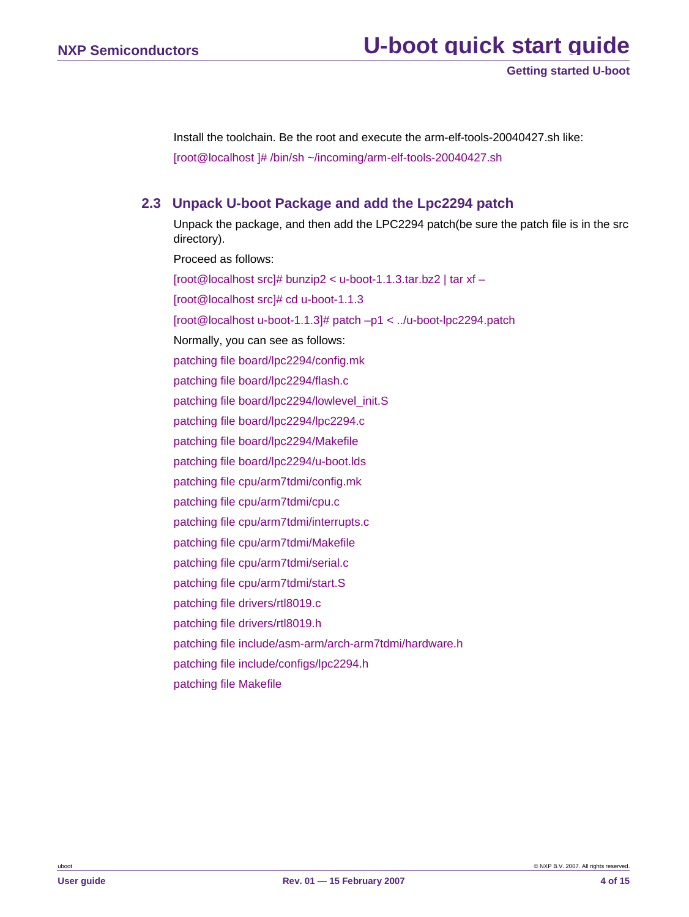<span id="page-3-0"></span>Install the toolchain. Be the root and execute the arm-elf-tools-20040427.sh like: [root@localhost ]# /bin/sh ~/incoming/arm-elf-tools-20040427.sh

### **2.3 Unpack U-boot Package and add the Lpc2294 patch**

Unpack the package, and then add the LPC2294 patch(be sure the patch file is in the src directory). Proceed as follows:

[root@localhost src]# bunzip2 < u-boot-1.1.3.tar.bz2 | tar xf – [root@localhost src]# cd u-boot-1.1.3 [root@localhost u-boot-1.1.3]# patch –p1 < ../u-boot-lpc2294.patch Normally, you can see as follows: patching file board/lpc2294/config.mk patching file board/lpc2294/flash.c patching file board/lpc2294/lowlevel\_init.S patching file board/lpc2294/lpc2294.c patching file board/lpc2294/Makefile patching file board/lpc2294/u-boot.lds patching file cpu/arm7tdmi/config.mk patching file cpu/arm7tdmi/cpu.c patching file cpu/arm7tdmi/interrupts.c patching file cpu/arm7tdmi/Makefile patching file cpu/arm7tdmi/serial.c patching file cpu/arm7tdmi/start.S patching file drivers/rtl8019.c patching file drivers/rtl8019.h patching file include/asm-arm/arch-arm7tdmi/hardware.h patching file include/configs/lpc2294.h patching file Makefile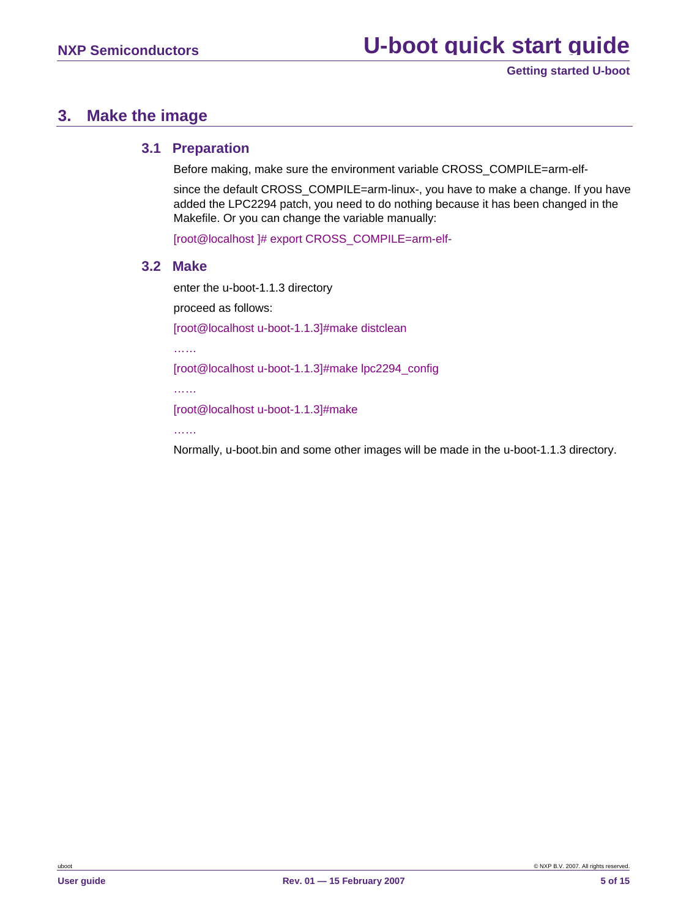### <span id="page-4-0"></span>**3. Make the image**

### **3.1 Preparation**

Before making, make sure the environment variable CROSS\_COMPILE=arm-elf-

since the default CROSS\_COMPILE=arm-linux-, you have to make a change. If you have added the LPC2294 patch, you need to do nothing because it has been changed in the Makefile. Or you can change the variable manually:

[root@localhost ]# export CROSS\_COMPILE=arm-elf-

### **3.2 Make**

enter the u-boot-1.1.3 directory

proceed as follows:

[root@localhost u-boot-1.1.3]#make distclean

……

[root@localhost u-boot-1.1.3]#make lpc2294\_config

……

[root@localhost u-boot-1.1.3]#make

……

Normally, u-boot.bin and some other images will be made in the u-boot-1.1.3 directory.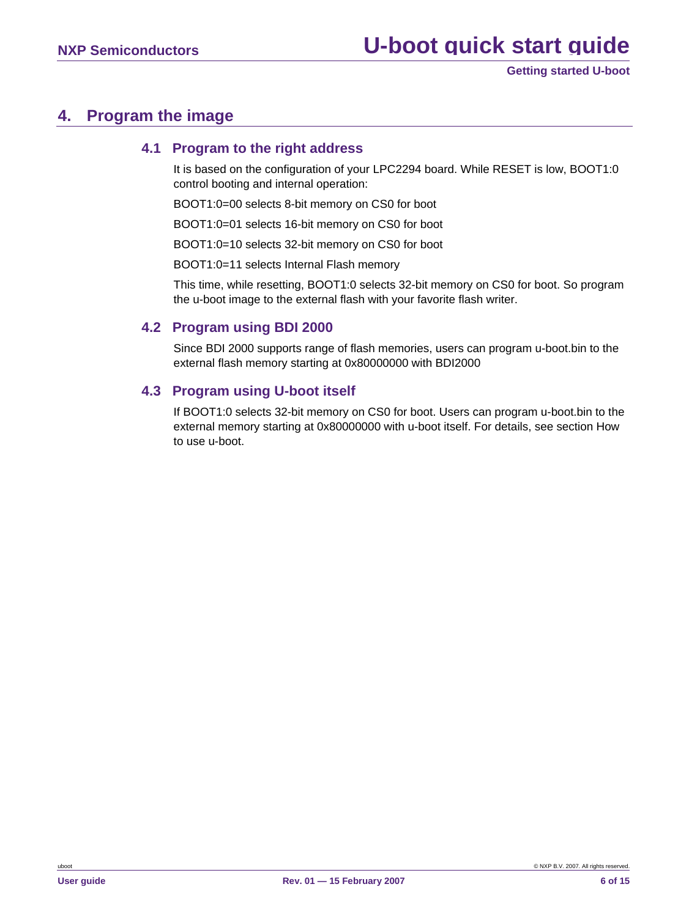## <span id="page-5-0"></span>**4. Program the image**

### **4.1 Program to the right address**

It is based on the configuration of your LPC2294 board. While RESET is low, BOOT1:0 control booting and internal operation:

BOOT1:0=00 selects 8-bit memory on CS0 for boot

BOOT1:0=01 selects 16-bit memory on CS0 for boot

BOOT1:0=10 selects 32-bit memory on CS0 for boot

BOOT1:0=11 selects Internal Flash memory

This time, while resetting, BOOT1:0 selects 32-bit memory on CS0 for boot. So program the u-boot image to the external flash with your favorite flash writer.

### **4.2 Program using BDI 2000**

Since BDI 2000 supports range of flash memories, users can program u-boot.bin to the external flash memory starting at 0x80000000 with BDI2000

### **4.3 Program using U-boot itself**

If BOOT1:0 selects 32-bit memory on CS0 for boot. Users can program u-boot.bin to the external memory starting at 0x80000000 with u-boot itself. For details, see section How to use u-boot.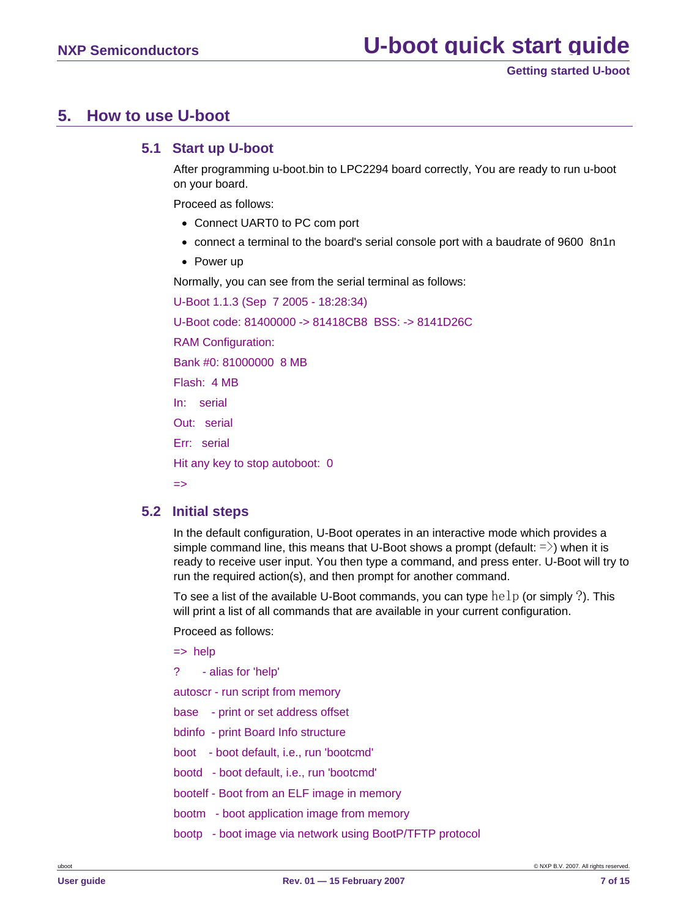## <span id="page-6-0"></span>**5. How to use U-boot**

### **5.1 Start up U-boot**

After programming u-boot.bin to LPC2294 board correctly, You are ready to run u-boot on your board.

Proceed as follows:

- Connect UART0 to PC com port
- connect a terminal to the board's serial console port with a baudrate of 9600 8n1n
- Power up

Normally, you can see from the serial terminal as follows:

U-Boot 1.1.3 (Sep 7 2005 - 18:28:34) U-Boot code: 81400000 -> 81418CB8 BSS: -> 8141D26C RAM Configuration: Bank #0: 81000000 8 MB Flash: 4 MB In: serial Out: serial Err: serial Hit any key to stop autoboot: 0 =>

### **5.2 Initial steps**

In the default configuration, U-Boot operates in an interactive mode which provides a simple command line, this means that U-Boot shows a prompt (default:  $=$  >) when it is ready to receive user input. You then type a command, and press enter. U-Boot will try to run the required action(s), and then prompt for another command.

To see a list of the available U-Boot commands, you can type  $\text{help}$  (or simply ?). This will print a list of all commands that are available in your current configuration.

Proceed as follows:

 $\Rightarrow$  help

? - alias for 'help'

autoscr - run script from memory

base - print or set address offset

- bdinfo print Board Info structure
- boot boot default, i.e., run 'bootcmd'
- bootd boot default, i.e., run 'bootcmd'
- bootelf Boot from an ELF image in memory
- bootm boot application image from memory
- bootp boot image via network using BootP/TFTP protocol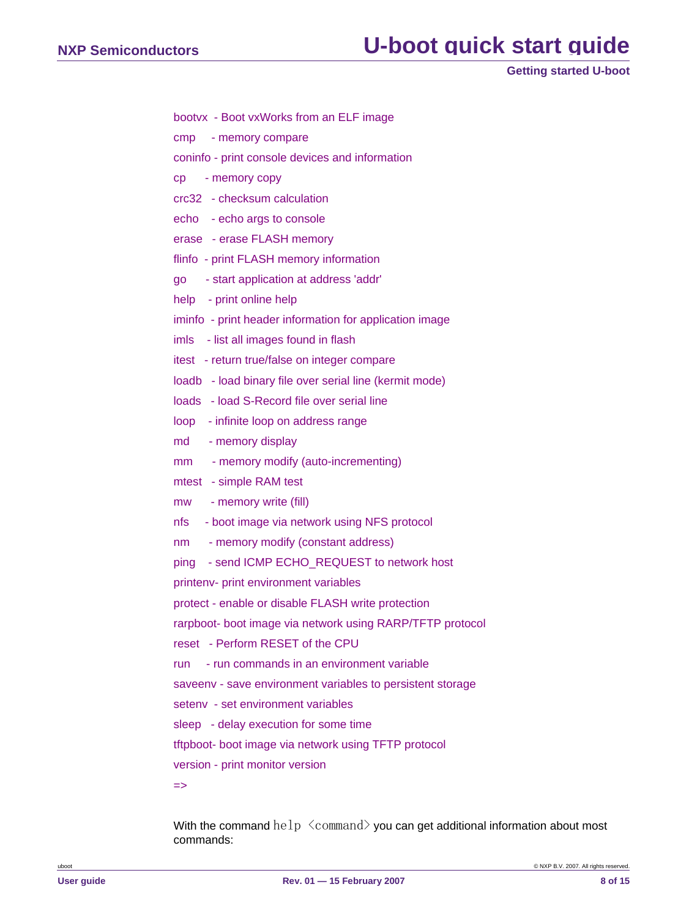```
Getting started U-boot
```
- bootvx Boot vxWorks from an ELF image
- cmp memory compare
- coninfo print console devices and information
- cp memory copy
- crc32 checksum calculation
- echo echo args to console
- erase erase FLASH memory
- flinfo print FLASH memory information
- go start application at address 'addr'
- help print online help
- iminfo print header information for application image
- imls list all images found in flash
- itest return true/false on integer compare
- loadb load binary file over serial line (kermit mode)
- loads load S-Record file over serial line
- loop infinite loop on address range
- md memory display
- mm memory modify (auto-incrementing)
- mtest simple RAM test
- mw memory write (fill)
- nfs boot image via network using NFS protocol
- nm memory modify (constant address)

ping - send ICMP ECHO\_REQUEST to network host

printenv- print environment variables

protect - enable or disable FLASH write protection

rarpboot- boot image via network using RARP/TFTP protocol

```
reset - Perform RESET of the CPU
```
run - run commands in an environment variable

saveenv - save environment variables to persistent storage

- setenv set environment variables
- sleep delay execution for some time

tftpboot- boot image via network using TFTP protocol

version - print monitor version

=>

With the command help  $\langle$  command $\rangle$  you can get additional information about most commands: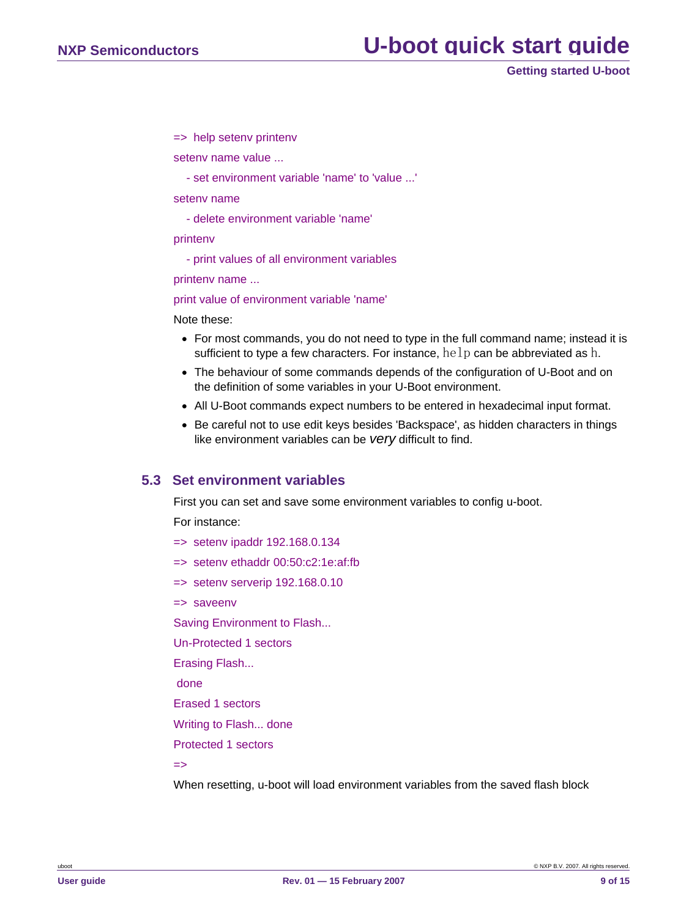**Getting started U-boot**

<span id="page-8-0"></span>=> help setenv printenv

setenv name value ...

- set environment variable 'name' to 'value ...'

setenv name

- delete environment variable 'name'

#### printenv

- print values of all environment variables

printenv name ...

print value of environment variable 'name'

Note these:

- For most commands, you do not need to type in the full command name; instead it is sufficient to type a few characters. For instance,  $he1p$  can be abbreviated as h.
- The behaviour of some commands depends of the configuration of U-Boot and on the definition of some variables in your U-Boot environment.
- All U-Boot commands expect numbers to be entered in hexadecimal input format.
- Be careful not to use edit keys besides 'Backspace', as hidden characters in things like environment variables can be *very* difficult to find.

### **5.3 Set environment variables**

First you can set and save some environment variables to config u-boot.

For instance:

- => setenv ipaddr 192.168.0.134
- => setenv ethaddr 00:50:c2:1e:af:fb
- => setenv serverip 192.168.0.10
- => saveenv

Saving Environment to Flash...

Un-Protected 1 sectors

Erasing Flash...

done

Erased 1 sectors

Writing to Flash... done

Protected 1 sectors

 $\Rightarrow$ 

When resetting, u-boot will load environment variables from the saved flash block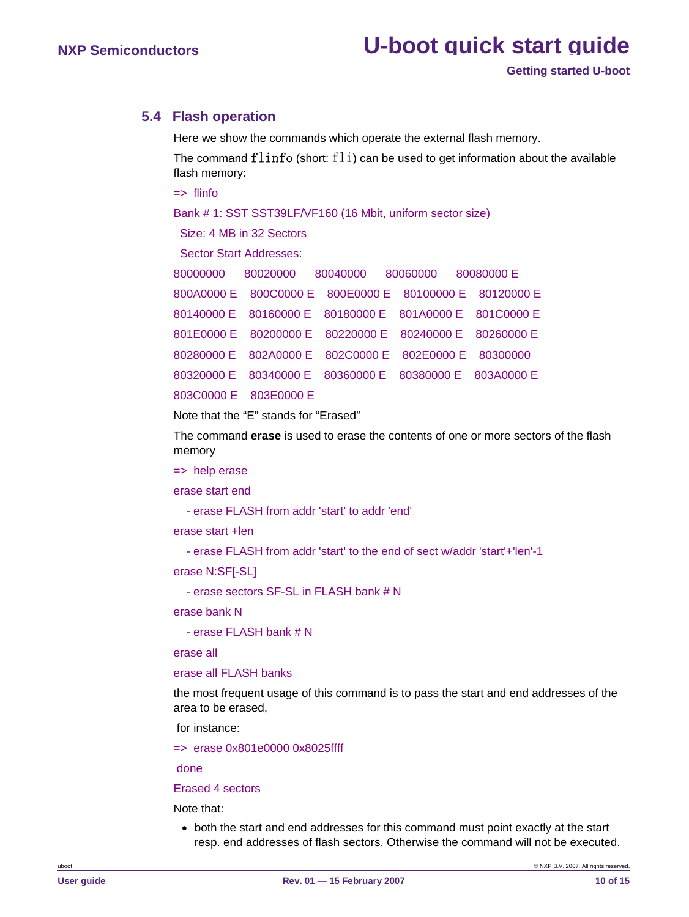### <span id="page-9-0"></span>**5.4 Flash operation**

Here we show the commands which operate the external flash memory.

The command  $flinfo$  (short:  $fli$ ) can be used to get information about the available flash memory:

=> flinfo

Bank # 1: SST SST39LF/VF160 (16 Mbit, uniform sector size)

Size: 4 MB in 32 Sectors

Sector Start Addresses:

|                       | 80000000 80020000 80040000 80060000 80080000 E         |  |
|-----------------------|--------------------------------------------------------|--|
|                       | 800A0000 E 800C0000 E 800E0000 E 80100000 E 80120000 E |  |
|                       | 80140000 E 80160000 E 80180000 E 801A0000 E 801C0000 E |  |
|                       | 801E0000 E 80200000 E 80220000 E 80240000 E 80260000 E |  |
|                       | 80280000 E 802A0000 E 802C0000 E 802E0000 E 80300000   |  |
|                       | 80320000 E 80340000 E 80360000 E 80380000 E 803A0000 E |  |
| 803C0000 E 803E0000 E |                                                        |  |

Note that the "E" stands for "Erased"

The command **erase** is used to erase the contents of one or more sectors of the flash memory

=> help erase

erase start end

- erase FLASH from addr 'start' to addr 'end'

erase start +len

- erase FLASH from addr 'start' to the end of sect w/addr 'start'+'len'-1

erase N:SF[-SL]

- erase sectors SF-SL in FLASH bank # N

erase bank N

- erase FLASH bank # N

erase all

#### erase all FLASH banks

the most frequent usage of this command is to pass the start and end addresses of the area to be erased,

for instance:

=> erase 0x801e0000 0x8025ffff

done

### Erased 4 sectors

Note that:

• both the start and end addresses for this command must point exactly at the start resp. end addresses of flash sectors. Otherwise the command will not be executed.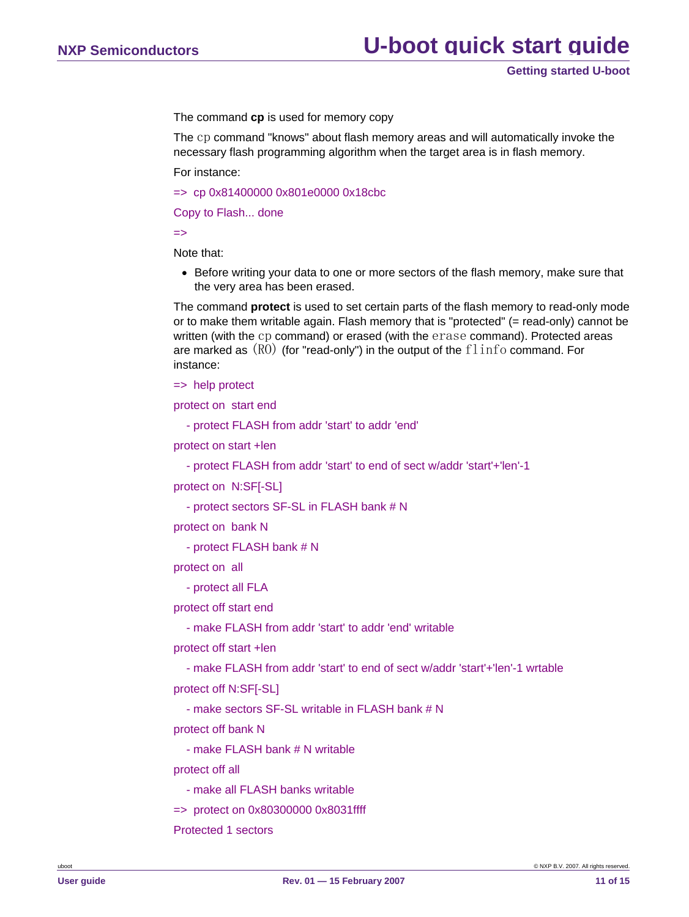The command **cp** is used for memory copy

The cp command "knows" about flash memory areas and will automatically invoke the necessary flash programming algorithm when the target area is in flash memory.

For instance:

=> cp 0x81400000 0x801e0000 0x18cbc

Copy to Flash... done

 $\Rightarrow$ 

Note that:

• Before writing your data to one or more sectors of the flash memory, make sure that the very area has been erased.

The command **protect** is used to set certain parts of the flash memory to read-only mode or to make them writable again. Flash memory that is "protected" (= read-only) cannot be written (with the cp command) or erased (with the erase command). Protected areas are marked as  $(R0)$  (for "read-only") in the output of the  $flinfo$  command. For instance:

=> help protect

protect on start end

- protect FLASH from addr 'start' to addr 'end'

protect on start +len

- protect FLASH from addr 'start' to end of sect w/addr 'start'+'len'-1

protect on N:SF[-SL]

- protect sectors SF-SL in FLASH bank # N

protect on bank N

- protect FLASH bank # N

protect on all

- protect all FLA

protect off start end

- make FLASH from addr 'start' to addr 'end' writable

protect off start +len

- make FLASH from addr 'start' to end of sect w/addr 'start'+'len'-1 wrtable

protect off N:SF[-SL]

- make sectors SF-SL writable in FLASH bank # N

protect off bank N

- make FLASH bank # N writable

protect off all

- make all FLASH banks writable
- => protect on 0x80300000 0x8031ffff

Protected 1 sectors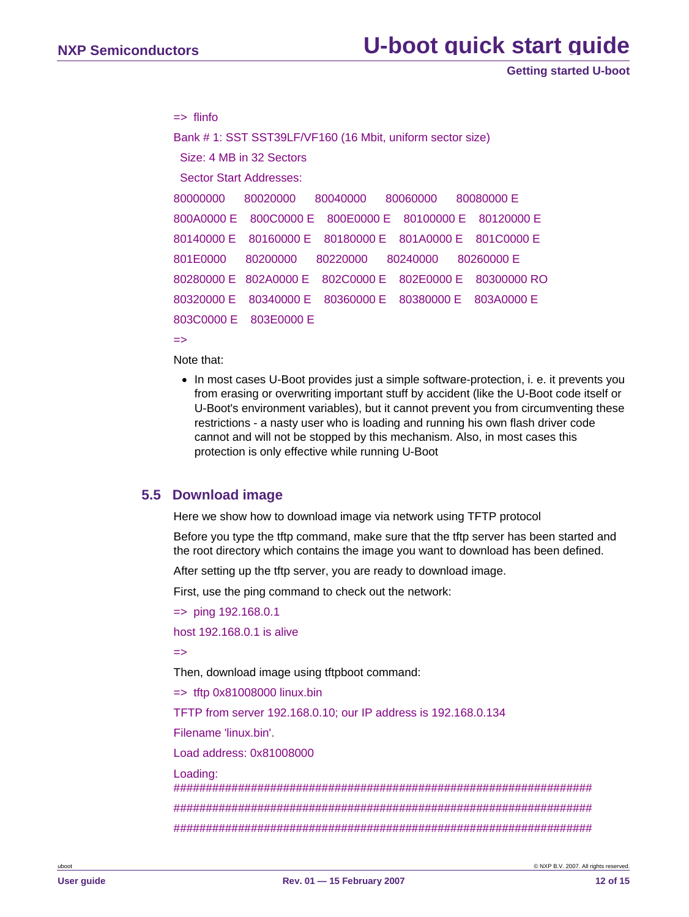**Getting started U-boot**

```
\Rightarrow flinfo
Bank # 1: SST SST39LF/VF160 (16 Mbit, uniform sector size) 
  Size: 4 MB in 32 Sectors 
  Sector Start Addresses: 
80000000 80020000 80040000 80060000 80080000 E 
800A0000 E 800C0000 E 800E0000 E 80100000 E 80120000 E 
80140000 E 80160000 E 80180000 E 801A0000 E 801C0000 E 
801E0000 80200000 80220000 80240000 80260000 E
80280000 E 802A0000 E 802C0000 E 802E0000 E 80300000 RO 
80320000 E 80340000 E 80360000 E 80380000 E 803A0000 E 
803C0000 E 803E0000 E
```
=>

- Note that:
- In most cases U-Boot provides just a simple software-protection, i. e. it prevents you from erasing or overwriting important stuff by accident (like the U-Boot code itself or U-Boot's environment variables), but it cannot prevent you from circumventing these restrictions - a nasty user who is loading and running his own flash driver code cannot and will not be stopped by this mechanism. Also, in most cases this protection is only effective while running U-Boot

### **5.5 Download image**

Here we show how to download image via network using TFTP protocol

Before you type the tftp command, make sure that the tftp server has been started and the root directory which contains the image you want to download has been defined.

After setting up the tftp server, you are ready to download image.

First, use the ping command to check out the network:

```
=> ping 192.168.0.1
```
host 192.168.0.1 is alive

 $\Rightarrow$ 

Then, download image using tftpboot command:

 $\Rightarrow$  tftp 0x81008000 linux.bin

TFTP from server 192.168.0.10; our IP address is 192.168.0.134

Filename 'linux.bin'.

Load address: 0x81008000

#### Loading:

################################################################# ################################################################# #################################################################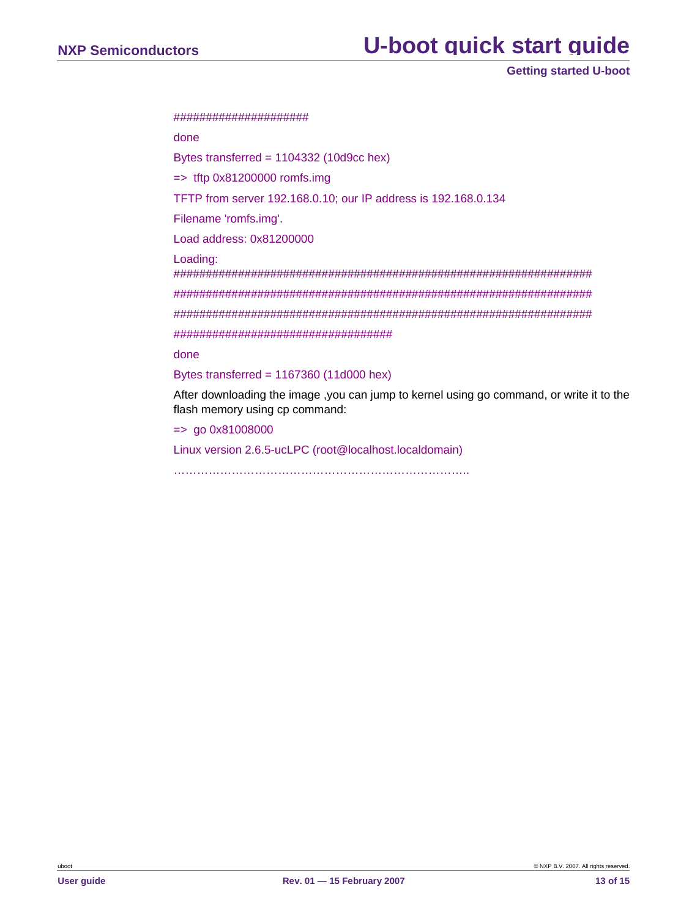# **NXP Semiconductors U-boot quick start guide**

**Getting started U-boot**

#### #####################

done

Bytes transferred = 1104332 (10d9cc hex)

 $\Rightarrow$  tftp 0x81200000 romfs.img

TFTP from server 192.168.0.10; our IP address is 192.168.0.134

Filename 'romfs.img'.

Load address: 0x81200000

Loading:

################################################################# ################################################################# ################################################################# ##################################

done

Bytes transferred = 1167360 (11d000 hex)

After downloading the image ,you can jump to kernel using go command, or write it to the flash memory using cp command:

 $=$  90 0x81008000

Linux version 2.6.5-ucLPC (root@localhost.localdomain)

…………………………………………………………………..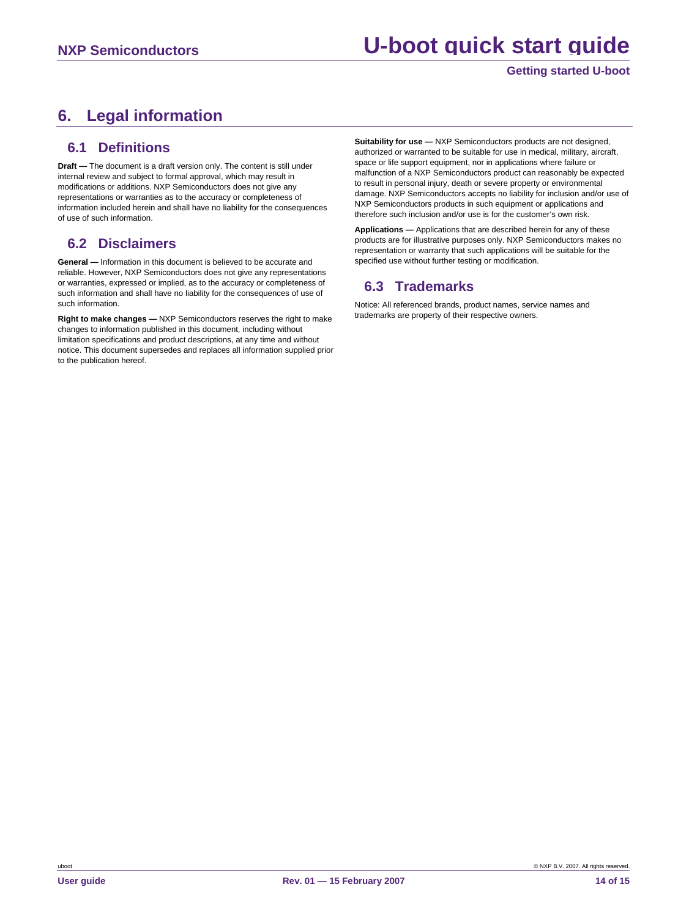# <span id="page-13-0"></span>**6. Legal information**

### **6.1 Definitions**

**Draft —** The document is a draft version only. The content is still under internal review and subject to formal approval, which may result in modifications or additions. NXP Semiconductors does not give any representations or warranties as to the accuracy or completeness of information included herein and shall have no liability for the consequences of use of such information.

### **6.2 Disclaimers**

**General —** Information in this document is believed to be accurate and reliable. However, NXP Semiconductors does not give any representations or warranties, expressed or implied, as to the accuracy or completeness of such information and shall have no liability for the consequences of use of such information.

**Right to make changes —** NXP Semiconductors reserves the right to make changes to information published in this document, including without limitation specifications and product descriptions, at any time and without notice. This document supersedes and replaces all information supplied prior to the publication hereof.

**Suitability for use —** NXP Semiconductors products are not designed, authorized or warranted to be suitable for use in medical, military, aircraft, space or life support equipment, nor in applications where failure or malfunction of a NXP Semiconductors product can reasonably be expected to result in personal injury, death or severe property or environmental damage. NXP Semiconductors accepts no liability for inclusion and/or use of NXP Semiconductors products in such equipment or applications and therefore such inclusion and/or use is for the customer's own risk.

**Applications —** Applications that are described herein for any of these products are for illustrative purposes only. NXP Semiconductors makes no representation or warranty that such applications will be suitable for the specified use without further testing or modification.

### **6.3 Trademarks**

Notice: All referenced brands, product names, service names and trademarks are property of their respective owners.